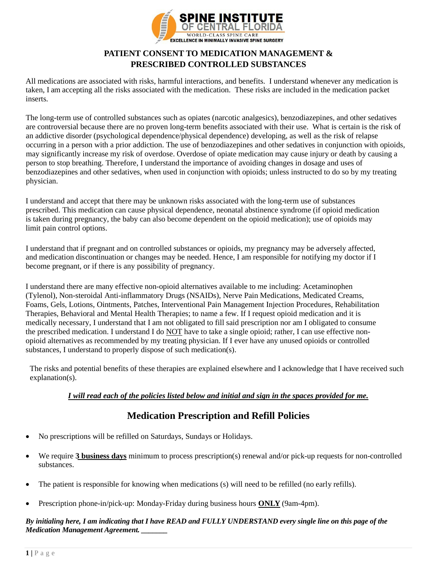

# **PATIENT CONSENT TO MEDICATION MANAGEMENT & PRESCRIBED CONTROLLED SUBSTANCES**

All medications are associated with risks, harmful interactions, and benefits. I understand whenever any medication is taken, I am accepting all the risks associated with the medication. These risks are included in the medication packet inserts.

The long-term use of controlled substances such as opiates (narcotic analgesics), benzodiazepines, and other sedatives are controversial because there are no proven long-term benefits associated with their use. What is certain is the risk of an addictive disorder (psychological dependence/physical dependence) developing, as well as the risk of relapse occurring in a person with a prior addiction. The use of benzodiazepines and other sedatives in conjunction with opioids, may significantly increase my risk of overdose. Overdose of opiate medication may cause injury or death by causing a person to stop breathing. Therefore, I understand the importance of avoiding changes in dosage and uses of benzodiazepines and other sedatives, when used in conjunction with opioids; unless instructed to do so by my treating physician.

I understand and accept that there may be unknown risks associated with the long-term use of substances prescribed. This medication can cause physical dependence, neonatal abstinence syndrome (if opioid medication is taken during pregnancy, the baby can also become dependent on the opioid medication); use of opioids may limit pain control options.

I understand that if pregnant and on controlled substances or opioids, my pregnancy may be adversely affected, and medication discontinuation or changes may be needed. Hence, I am responsible for notifying my doctor if I become pregnant, or if there is any possibility of pregnancy.

I understand there are many effective non-opioid alternatives available to me including: Acetaminophen (Tylenol), Non-steroidal Anti-inflammatory Drugs (NSAIDs), Nerve Pain Medications, Medicated Creams, Foams, Gels, Lotions, Ointments, Patches, Interventional Pain Management Injection Procedures, Rehabilitation Therapies, Behavioral and Mental Health Therapies; to name a few. If I request opioid medication and it is medically necessary, I understand that I am not obligated to fill said prescription nor am I obligated to consume the prescribed medication. I understand I do NOT have to take a single opioid; rather, I can use effective nonopioid alternatives as recommended by my treating physician. If I ever have any unused opioids or controlled substances, I understand to properly dispose of such medication(s).

The risks and potential benefits of these therapies are explained elsewhere and I acknowledge that I have received such explanation(s).

### *I will read each of the policies listed below and initial and sign in the spaces provided for me.*

# **Medication Prescription and Refill Policies**

- No prescriptions will be refilled on Saturdays, Sundays or Holidays.
- We require **3 business days** minimum to process prescription(s) renewal and/or pick-up requests for non-controlled substances.
- The patient is responsible for knowing when medications (s) will need to be refilled (no early refills).
- Prescription phone-in/pick-up: Monday-Friday during business hours **ONLY** (9am-4pm).

### *By initialing here, I am indicating that I have READ and FULLY UNDERSTAND every single line on this page of the Medication Management Agreement. \_\_\_\_\_\_\_*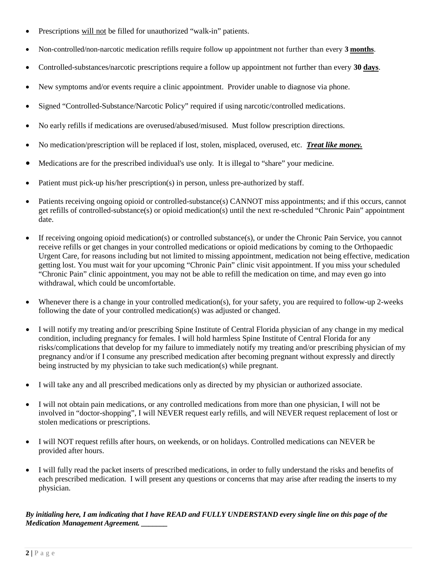- Prescriptions will not be filled for unauthorized "walk-in" patients.
- Non-controlled/non-narcotic medication refills require follow up appointment not further than every **3 months**.
- Controlled-substances/narcotic prescriptions require a follow up appointment not further than every **30 days**.
- New symptoms and/or events require a clinic appointment. Provider unable to diagnose via phone.
- Signed "Controlled-Substance/Narcotic Policy" required if using narcotic/controlled medications.
- No early refills if medications are overused/abused/misused. Must follow prescription directions.
- No medication/prescription will be replaced if lost, stolen, misplaced, overused, etc. *Treat like money.*
- Medications are for the prescribed individual's use only. It is illegal to "share" your medicine.
- Patient must pick-up his/her prescription(s) in person, unless pre-authorized by staff.
- Patients receiving ongoing opioid or controlled-substance(s) CANNOT miss appointments; and if this occurs, cannot get refills of controlled-substance(s) or opioid medication(s) until the next re-scheduled "Chronic Pain" appointment date.
- If receiving ongoing opioid medication(s) or controlled substance(s), or under the Chronic Pain Service, you cannot receive refills or get changes in your controlled medications or opioid medications by coming to the Orthopaedic Urgent Care, for reasons including but not limited to missing appointment, medication not being effective, medication getting lost. You must wait for your upcoming "Chronic Pain" clinic visit appointment. If you miss your scheduled "Chronic Pain" clinic appointment, you may not be able to refill the medication on time, and may even go into withdrawal, which could be uncomfortable.
- Whenever there is a change in your controlled medication(s), for your safety, you are required to follow-up 2-weeks following the date of your controlled medication(s) was adjusted or changed.
- I will notify my treating and/or prescribing Spine Institute of Central Florida physician of any change in my medical condition, including pregnancy for females. I will hold harmless Spine Institute of Central Florida for any risks/complications that develop for my failure to immediately notify my treating and/or prescribing physician of my pregnancy and/or if I consume any prescribed medication after becoming pregnant without expressly and directly being instructed by my physician to take such medication(s) while pregnant.
- I will take any and all prescribed medications only as directed by my physician or authorized associate.
- I will not obtain pain medications, or any controlled medications from more than one physician, I will not be involved in "doctor-shopping", I will NEVER request early refills, and will NEVER request replacement of lost or stolen medications or prescriptions.
- I will NOT request refills after hours, on weekends, or on holidays. Controlled medications can NEVER be provided after hours.
- I will fully read the packet inserts of prescribed medications, in order to fully understand the risks and benefits of each prescribed medication. I will present any questions or concerns that may arise after reading the inserts to my physician.

*By initialing here, I am indicating that I have READ and FULLY UNDERSTAND every single line on this page of the Medication Management Agreement. \_\_\_\_\_\_\_*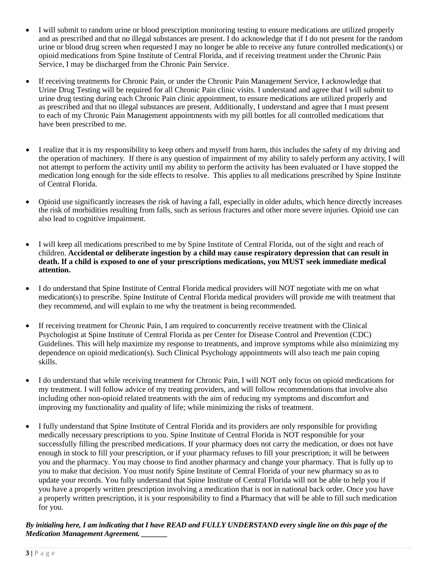- I will submit to random urine or blood prescription monitoring testing to ensure medications are utilized properly and as prescribed and that no illegal substances are present. I do acknowledge that if I do not present for the random urine or blood drug screen when requested I may no longer be able to receive any future controlled medication(s) or opioid medications from Spine Institute of Central Florida, and if receiving treatment under the Chronic Pain Service, I may be discharged from the Chronic Pain Service.
- If receiving treatments for Chronic Pain, or under the Chronic Pain Management Service, I acknowledge that Urine Drug Testing will be required for all Chronic Pain clinic visits. I understand and agree that I will submit to urine drug testing during each Chronic Pain clinic appointment, to ensure medications are utilized properly and as prescribed and that no illegal substances are present. Additionally, I understand and agree that I must present to each of my Chronic Pain Management appointments with my pill bottles for all controlled medications that have been prescribed to me.
- I realize that it is my responsibility to keep others and myself from harm, this includes the safety of my driving and the operation of machinery. If there is any question of impairment of my ability to safely perform any activity, I will not attempt to perform the activity until my ability to perform the activity has been evaluated or I have stopped the medication long enough for the side effects to resolve. This applies to all medications prescribed by Spine Institute of Central Florida.
- Opioid use significantly increases the risk of having a fall, especially in older adults, which hence directly increases the risk of morbidities resulting from falls, such as serious fractures and other more severe injuries. Opioid use can also lead to cognitive impairment.
- I will keep all medications prescribed to me by Spine Institute of Central Florida, out of the sight and reach of children. **Accidental or deliberate ingestion by a child may cause respiratory depression that can result in death. If a child is exposed to one of your prescriptions medications, you MUST seek immediate medical attention.**
- I do understand that Spine Institute of Central Florida medical providers will NOT negotiate with me on what medication(s) to prescribe. Spine Institute of Central Florida medical providers will provide me with treatment that they recommend, and will explain to me why the treatment is being recommended.
- If receiving treatment for Chronic Pain, I am required to concurrently receive treatment with the Clinical Psychologist at Spine Institute of Central Florida as per Center for Disease Control and Prevention (CDC) Guidelines. This will help maximize my response to treatments, and improve symptoms while also minimizing my dependence on opioid medication(s). Such Clinical Psychology appointments will also teach me pain coping skills.
- I do understand that while receiving treatment for Chronic Pain, I will NOT only focus on opioid medications for my treatment. I will follow advice of my treating providers, and will follow recommendations that involve also including other non-opioid related treatments with the aim of reducing my symptoms and discomfort and improving my functionality and quality of life; while minimizing the risks of treatment.
- I fully understand that Spine Institute of Central Florida and its providers are only responsible for providing medically necessary prescriptions to you. Spine Institute of Central Florida is NOT responsible for your successfully filling the prescribed medications. If your pharmacy does not carry the medication, or does not have enough in stock to fill your prescription, or if your pharmacy refuses to fill your prescription; it will be between you and the pharmacy. You may choose to find another pharmacy and change your pharmacy. That is fully up to you to make that decision. You must notify Spine Institute of Central Florida of your new pharmacy so as to update your records. You fully understand that Spine Institute of Central Florida will not be able to help you if you have a properly written prescription involving a medication that is not in national back order. Once you have a properly written prescription, it is your responsibility to find a Pharmacy that will be able to fill such medication for you.

*By initialing here, I am indicating that I have READ and FULLY UNDERSTAND every single line on this page of the Medication Management Agreement. \_\_\_\_\_\_\_*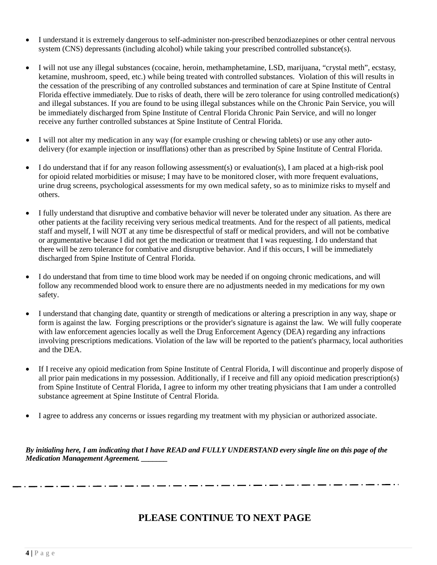- I understand it is extremely dangerous to self-administer non-prescribed benzodiazepines or other central nervous system (CNS) depressants (including alcohol) while taking your prescribed controlled substance(s).
- I will not use any illegal substances (cocaine, heroin, methamphetamine, LSD, marijuana, "crystal meth", ecstasy, ketamine, mushroom, speed, etc.) while being treated with controlled substances. Violation of this will results in the cessation of the prescribing of any controlled substances and termination of care at Spine Institute of Central Florida effective immediately. Due to risks of death, there will be zero tolerance for using controlled medication(s) and illegal substances. If you are found to be using illegal substances while on the Chronic Pain Service, you will be immediately discharged from Spine Institute of Central Florida Chronic Pain Service, and will no longer receive any further controlled substances at Spine Institute of Central Florida.
- I will not alter my medication in any way (for example crushing or chewing tablets) or use any other autodelivery (for example injection or insufflations) other than as prescribed by Spine Institute of Central Florida.
- I do understand that if for any reason following assessment(s) or evaluation(s), I am placed at a high-risk pool for opioid related morbidities or misuse; I may have to be monitored closer, with more frequent evaluations, urine drug screens, psychological assessments for my own medical safety, so as to minimize risks to myself and others.
- I fully understand that disruptive and combative behavior will never be tolerated under any situation. As there are other patients at the facility receiving very serious medical treatments. And for the respect of all patients, medical staff and myself, I will NOT at any time be disrespectful of staff or medical providers, and will not be combative or argumentative because I did not get the medication or treatment that I was requesting. I do understand that there will be zero tolerance for combative and disruptive behavior. And if this occurs, I will be immediately discharged from Spine Institute of Central Florida.
- I do understand that from time to time blood work may be needed if on ongoing chronic medications, and will follow any recommended blood work to ensure there are no adjustments needed in my medications for my own safety.
- I understand that changing date, quantity or strength of medications or altering a prescription in any way, shape or form is against the law. Forging prescriptions or the provider's signature is against the law. We will fully cooperate with law enforcement agencies locally as well the Drug Enforcement Agency (DEA) regarding any infractions involving prescriptions medications. Violation of the law will be reported to the patient's pharmacy, local authorities and the DEA.
- If I receive any opioid medication from Spine Institute of Central Florida, I will discontinue and properly dispose of all prior pain medications in my possession. Additionally, if I receive and fill any opioid medication prescription(s) from Spine Institute of Central Florida, I agree to inform my other treating physicians that I am under a controlled substance agreement at Spine Institute of Central Florida.
- I agree to address any concerns or issues regarding my treatment with my physician or authorized associate.

*By initialing here, I am indicating that I have READ and FULLY UNDERSTAND every single line on this page of the Medication Management Agreement. \_\_\_\_\_\_\_*

\_ . \_\_ . \_\_ . \_

# **PLEASE CONTINUE TO NEXT PAGE**